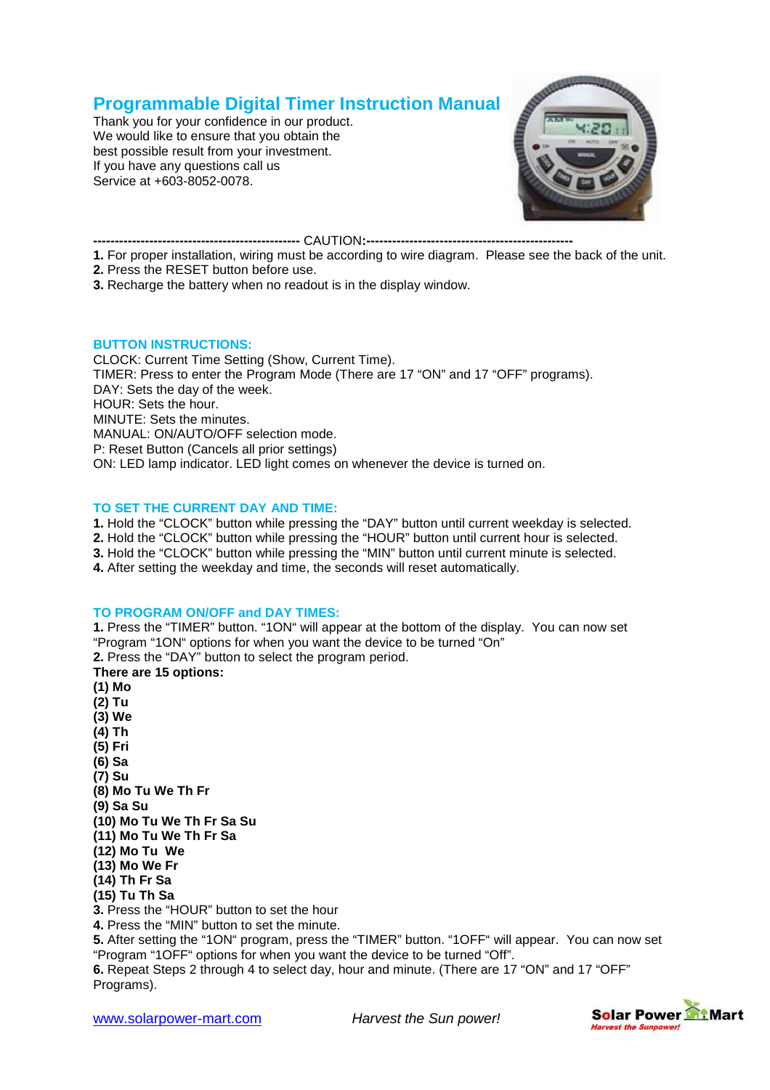# **Programmable Digital Timer Instruction Manual**

Thank you for your confidence in our product. We would like to ensure that you obtain the best possible result from your investment. If you have any questions call us Service at +603-8052-0078.



**------------------------------------------------** CAUTION**:------------------------------------------------**

- **1.** For proper installation, wiring must be according to wire diagram. Please see the back of the unit.
- **2.** Press the RESET button before use.

**3.** Recharge the battery when no readout is in the display window.

#### **BUTTON INSTRUCTIONS:**

CLOCK: Current Time Setting (Show, Current Time). TIMER: Press to enter the Program Mode (There are 17 "ON" and 17 "OFF" programs). DAY: Sets the day of the week. HOUR: Sets the hour. MINUTE: Sets the minutes. MANUAL: ON/AUTO/OFF selection mode. P: Reset Button (Cancels all prior settings) ON: LED lamp indicator. LED light comes on whenever the device is turned on.

# **TO SET THE CURRENT DAY AND TIME:**

1. Hold the "CLOCK" button while pressing the "DAY" button until current weekday is selected.

- 2. Hold the "CLOCK" button while pressing the "HOUR" button until current hour is selected.
- **3.** Hold the "CLOCK" button while pressing the "MIN" button until current minute is selected.

**4.** After setting the weekday and time, the seconds will reset automatically.

# **TO PROGRAM ON/OFF and DAY TIMES:**

1. Press the "TIMER" button. "1ON" will appear at the bottom of the display. You can now set "Program "1ON" options for when you want the device to be turned "On"

**2.** Press the "DAY" button to select the program period.

## **There are 15 options: (1) Mo (2) Tu (3) We (4) Th (5) Fri (6) Sa (7) Su (8) Mo Tu We Th Fr (9) Sa Su (10) Mo Tu We Th Fr Sa Su (11) Mo Tu We Th Fr Sa (12) Mo Tu We (13) Mo We Fr (14) Th Fr Sa (15) Tu Th Sa 3.** Press the "HOUR" button to set the hour **4.** Press the "MIN" button to set the minute. **5.** After setting the "1ON" program, press the "TIMER" button. "1OFF" will appear. You can now set "Program "1OFF" options for when you want the device to be turned "Off".

**6.** Repeat Steps 2 through 4 to select day, hour and minute. (There are 17 "ON"and 17 "OFF" Programs).